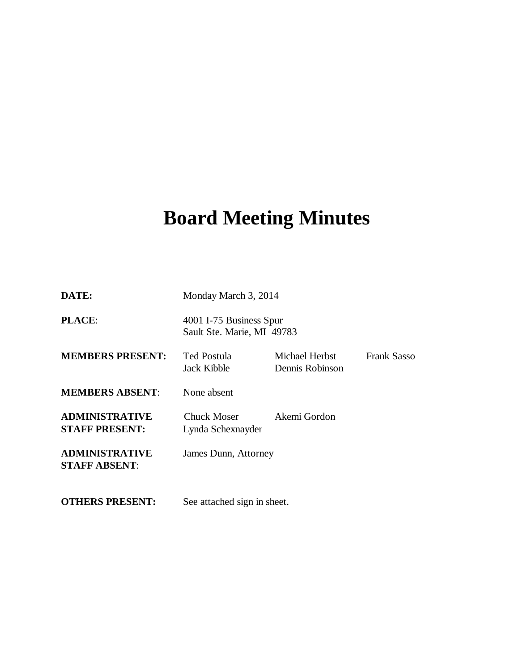# **Board Meeting Minutes**

| DATE:                                          | Monday March 3, 2014                                  |                                   |                    |
|------------------------------------------------|-------------------------------------------------------|-----------------------------------|--------------------|
| PLACE:                                         | 4001 I-75 Business Spur<br>Sault Ste. Marie, MI 49783 |                                   |                    |
| <b>MEMBERS PRESENT:</b>                        | Ted Postula<br>Jack Kibble                            | Michael Herbst<br>Dennis Robinson | <b>Frank Sasso</b> |
| <b>MEMBERS ABSENT:</b>                         | None absent                                           |                                   |                    |
| <b>ADMINISTRATIVE</b><br><b>STAFF PRESENT:</b> | <b>Chuck Moser</b><br>Lynda Schexnayder               | Akemi Gordon                      |                    |
| <b>ADMINISTRATIVE</b><br><b>STAFF ABSENT:</b>  | James Dunn, Attorney                                  |                                   |                    |
| <b>OTHERS PRESENT:</b>                         | See attached sign in sheet.                           |                                   |                    |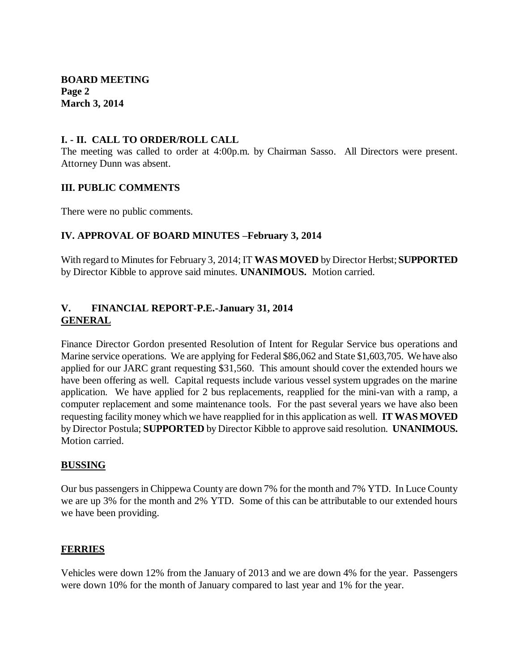**BOARD MEETING Page 2 March 3, 2014**

## **I. - II. CALL TO ORDER/ROLL CALL**

The meeting was called to order at 4:00p.m. by Chairman Sasso. All Directors were present. Attorney Dunn was absent.

#### **III. PUBLIC COMMENTS**

There were no public comments.

### **IV. APPROVAL OF BOARD MINUTES –February 3, 2014**

With regard to Minutes for February 3, 2014; IT **WAS MOVED** by Director Herbst; **SUPPORTED**  by Director Kibble to approve said minutes. **UNANIMOUS.** Motion carried.

## **V. FINANCIAL REPORT-P.E.-January 31, 2014 GENERAL**

Finance Director Gordon presented Resolution of Intent for Regular Service bus operations and Marine service operations. We are applying for Federal \$86,062 and State \$1,603,705. We have also applied for our JARC grant requesting \$31,560. This amount should cover the extended hours we have been offering as well. Capital requests include various vessel system upgrades on the marine application. We have applied for 2 bus replacements, reapplied for the mini-van with a ramp, a computer replacement and some maintenance tools. For the past several years we have also been requesting facility money which we have reapplied for in this application as well. **IT WAS MOVED**  by Director Postula; **SUPPORTED** by Director Kibble to approve said resolution. **UNANIMOUS.**  Motion carried.

#### **BUSSING**

Our bus passengers in Chippewa County are down 7% for the month and 7% YTD. In Luce County we are up 3% for the month and 2% YTD. Some of this can be attributable to our extended hours we have been providing.

#### **FERRIES**

Vehicles were down 12% from the January of 2013 and we are down 4% for the year. Passengers were down 10% for the month of January compared to last year and 1% for the year.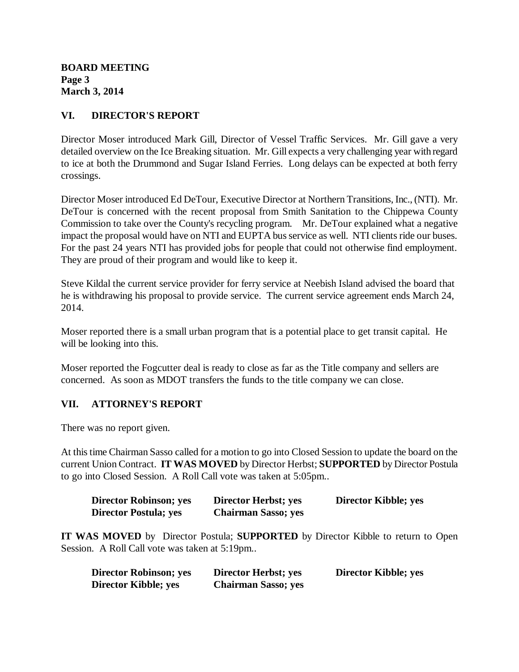**BOARD MEETING Page 3 March 3, 2014**

## **VI. DIRECTOR'S REPORT**

Director Moser introduced Mark Gill, Director of Vessel Traffic Services. Mr. Gill gave a very detailed overview on the Ice Breaking situation. Mr. Gill expects a very challenging year with regard to ice at both the Drummond and Sugar Island Ferries. Long delays can be expected at both ferry crossings.

Director Moser introduced Ed DeTour, Executive Director at Northern Transitions, Inc., (NTI). Mr. DeTour is concerned with the recent proposal from Smith Sanitation to the Chippewa County Commission to take over the County's recycling program. Mr. DeTour explained what a negative impact the proposal would have on NTI and EUPTA bus service as well. NTI clients ride our buses. For the past 24 years NTI has provided jobs for people that could not otherwise find employment. They are proud of their program and would like to keep it.

Steve Kildal the current service provider for ferry service at Neebish Island advised the board that he is withdrawing his proposal to provide service. The current service agreement ends March 24, 2014.

Moser reported there is a small urban program that is a potential place to get transit capital. He will be looking into this.

Moser reported the Fogcutter deal is ready to close as far as the Title company and sellers are concerned. As soon as MDOT transfers the funds to the title company we can close.

## **VII. ATTORNEY'S REPORT**

There was no report given.

At this time Chairman Sasso called for a motion to go into Closed Session to update the board on the current Union Contract. **IT WAS MOVED** by Director Herbst; **SUPPORTED** by Director Postula to go into Closed Session. A Roll Call vote was taken at 5:05pm..

| <b>Director Robinson; yes</b> | <b>Director Herbst; yes</b> | <b>Director Kibble; yes</b> |
|-------------------------------|-----------------------------|-----------------------------|
| <b>Director Postula; yes</b>  | <b>Chairman Sasso; yes</b>  |                             |

**IT WAS MOVED** by Director Postula; **SUPPORTED** by Director Kibble to return to Open Session. A Roll Call vote was taken at 5:19pm..

| <b>Director Robinson; yes</b> | <b>Director Herbst; yes</b> | Director Kibble; yes |
|-------------------------------|-----------------------------|----------------------|
| <b>Director Kibble; yes</b>   | <b>Chairman Sasso; yes</b>  |                      |